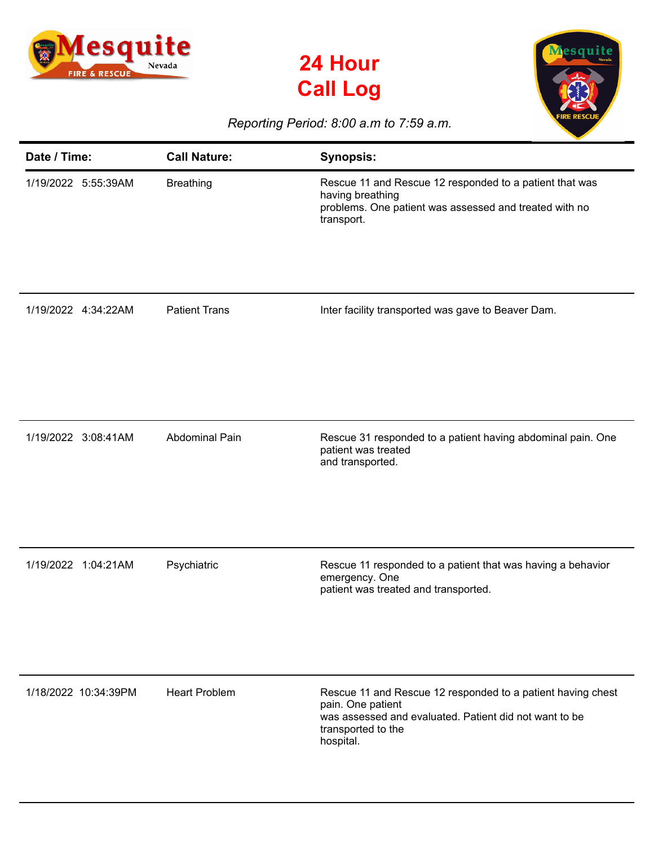





## *Reporting Period: 8:00 a.m to 7:59 a.m.*

| Date / Time:         | <b>Call Nature:</b>   | <b>Synopsis:</b>                                                                                                                                                              |
|----------------------|-----------------------|-------------------------------------------------------------------------------------------------------------------------------------------------------------------------------|
| 1/19/2022 5:55:39AM  | <b>Breathing</b>      | Rescue 11 and Rescue 12 responded to a patient that was<br>having breathing<br>problems. One patient was assessed and treated with no<br>transport.                           |
| 1/19/2022 4:34:22AM  | <b>Patient Trans</b>  | Inter facility transported was gave to Beaver Dam.                                                                                                                            |
| 1/19/2022 3:08:41AM  | <b>Abdominal Pain</b> | Rescue 31 responded to a patient having abdominal pain. One<br>patient was treated<br>and transported.                                                                        |
| 1/19/2022 1:04:21AM  | Psychiatric           | Rescue 11 responded to a patient that was having a behavior<br>emergency. One<br>patient was treated and transported.                                                         |
| 1/18/2022 10:34:39PM | <b>Heart Problem</b>  | Rescue 11 and Rescue 12 responded to a patient having chest<br>pain. One patient<br>was assessed and evaluated. Patient did not want to be<br>transported to the<br>hospital. |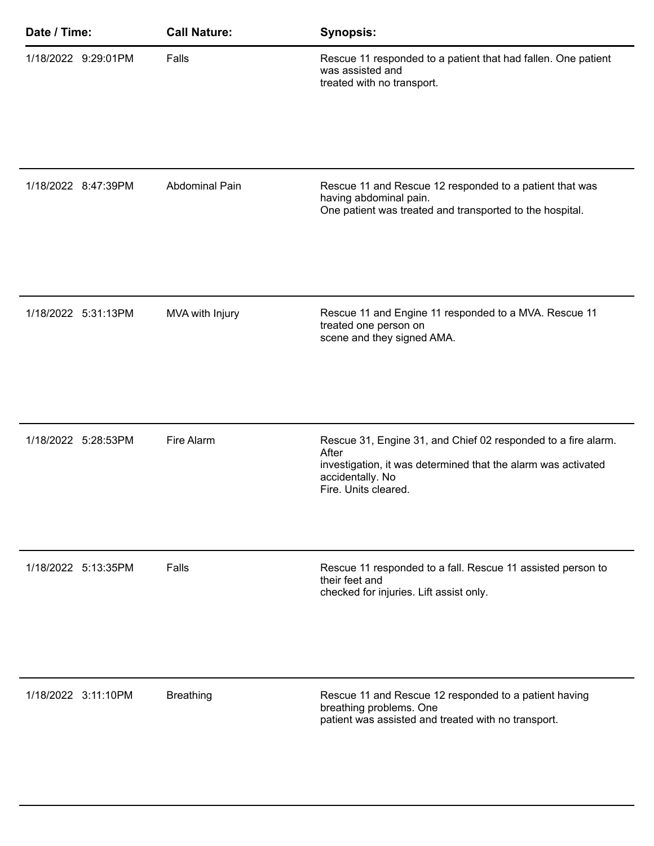| Date / Time: |                     | <b>Call Nature:</b>   | <b>Synopsis:</b>                                                                                                                                                                    |
|--------------|---------------------|-----------------------|-------------------------------------------------------------------------------------------------------------------------------------------------------------------------------------|
|              | 1/18/2022 9:29:01PM | Falls                 | Rescue 11 responded to a patient that had fallen. One patient<br>was assisted and<br>treated with no transport.                                                                     |
|              | 1/18/2022 8:47:39PM | <b>Abdominal Pain</b> | Rescue 11 and Rescue 12 responded to a patient that was<br>having abdominal pain.<br>One patient was treated and transported to the hospital.                                       |
|              | 1/18/2022 5:31:13PM | MVA with Injury       | Rescue 11 and Engine 11 responded to a MVA. Rescue 11<br>treated one person on<br>scene and they signed AMA.                                                                        |
|              | 1/18/2022 5:28:53PM | Fire Alarm            | Rescue 31, Engine 31, and Chief 02 responded to a fire alarm.<br>After<br>investigation, it was determined that the alarm was activated<br>accidentally. No<br>Fire. Units cleared. |
|              | 1/18/2022 5:13:35PM | Falls                 | Rescue 11 responded to a fall. Rescue 11 assisted person to<br>their feet and<br>checked for injuries. Lift assist only.                                                            |
|              | 1/18/2022 3:11:10PM | <b>Breathing</b>      | Rescue 11 and Rescue 12 responded to a patient having<br>breathing problems. One<br>patient was assisted and treated with no transport.                                             |